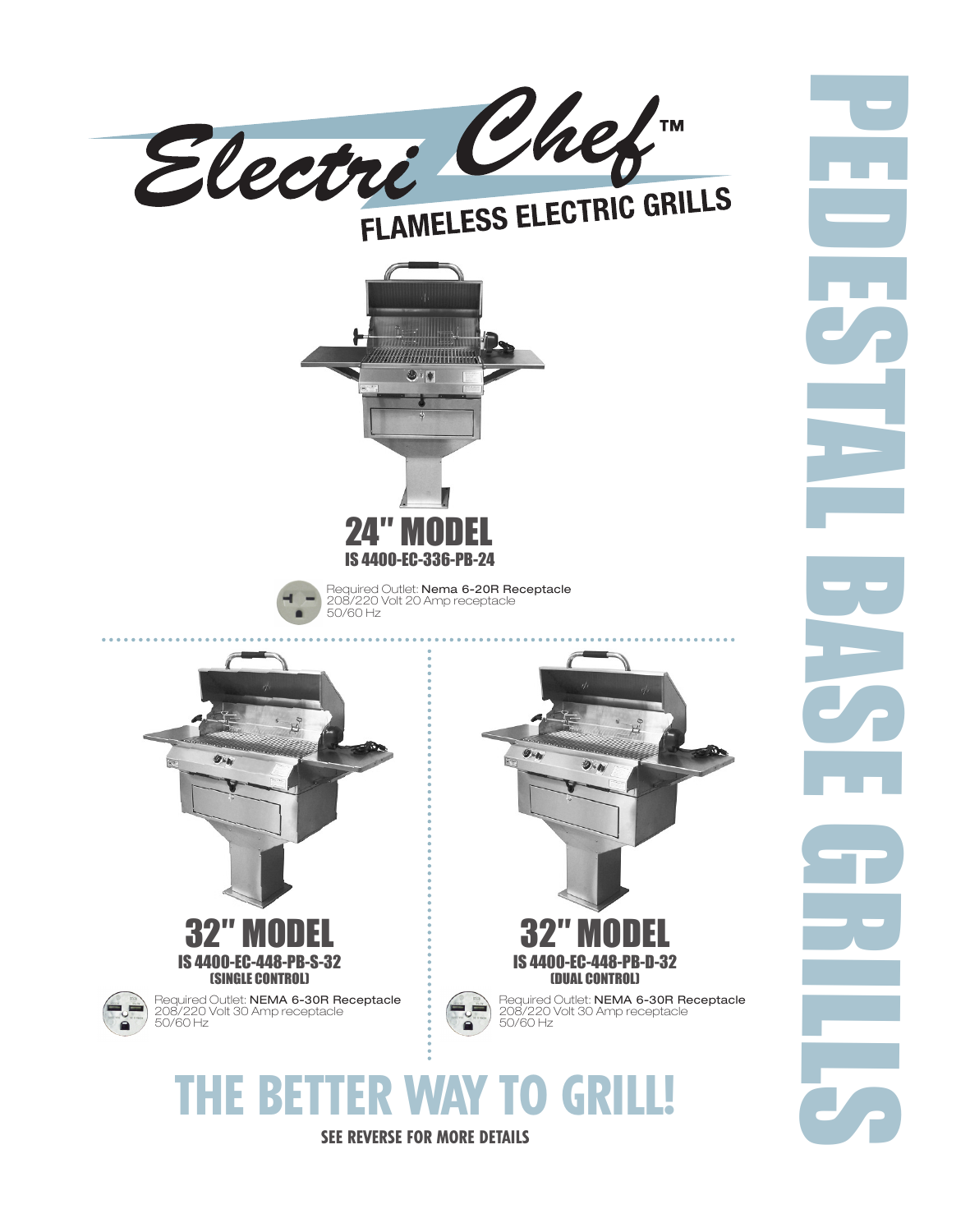